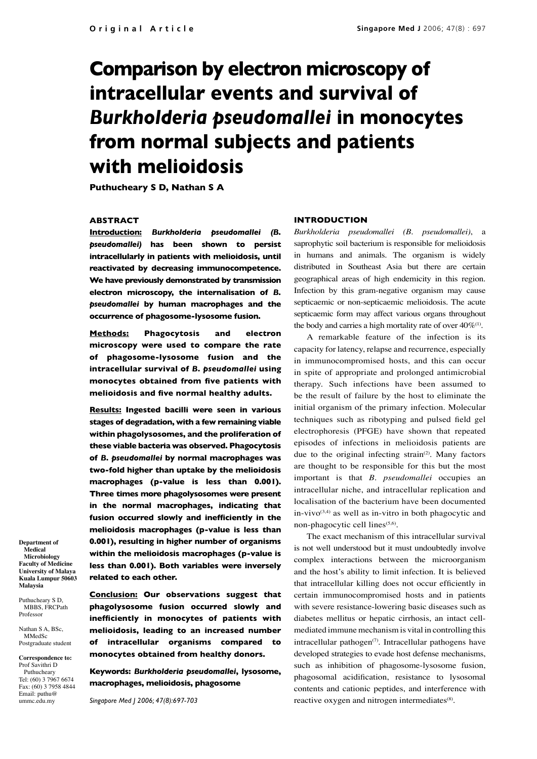# **Comparison by electron microscopy of intracellular events and survival of**  *Burkholderia pseudomallei* **in monocytes from normal subjects and patients with melioidosis**

**Puthucheary S D, Nathan S A**

# **ABSTRACT**

**Introduction:** *Burkholderia pseudomallei (B. pseudomallei)* **has been shown to persist intracellularly in patients with melioidosis, until reactivated by decreasing immunocompetence. We have previously demonstrated by transmission electron microscopy, the internalisation of** *B. pseudomallei* **by human macrophages and the occurrence of phagosome-lysosome fusion.** 

**Methods: Phagocytosis and electron microscopy were used to compare the rate of phagosome-lysosome fusion and the intracellular survival of** *B. pseudomallei* **using monocytes obtained from five patients with melioidosis and five normal healthy adults.**

**Results: Ingested bacilli were seen in various stages of degradation, with a few remaining viable within phagolysosomes, and the proliferation of these viable bacteria was observed. Phagocytosis of** *B. pseudomallei* **by normal macrophages was two-fold higher than uptake by the melioidosis macrophages (p-value is less than 0.001). Three times more phagolysosomes were present in the normal macrophages, indicating that fusion occurred slowly and inefficiently in the melioidosis macrophages (p-value is less than 0.001), resulting in higher number of organisms within the melioidosis macrophages (p-value is less than 0.001). Both variables were inversely related to each other.**

**Department of Medical Microbiology Faculty of Medicine University of Malaya Kuala Lumpur 50603 Malaysia**

Puthucheary S D, MBBS, FRCPath Professor

Nathan S A, BSc, MMedSc Postgraduate student

**Correspondence to:**  Prof Savithri D Puthucheary Tel: (60) 3 7967 6674 Fax: (60) 3 7958 4844 Email: puthu@ ummc.edu.my

**Conclusion: Our observations suggest that phagolysosome fusion occurred slowly and inefficiently in monocytes of patients with melioidosis, leading to an increased number of intracellular organisms compared to monocytes obtained from healthy donors.** 

**Keywords:** *Burkholderia pseudomallei***, lysosome, macrophages, melioidosis, phagosome**

*Singapore Med J 2006; 47(8):697-703*

### **INTRODUCTION**

*Burkholderia pseudomallei (B. pseudomallei)*, a saprophytic soil bacterium is responsible for melioidosis in humans and animals. The organism is widely distributed in Southeast Asia but there are certain geographical areas of high endemicity in this region. Infection by this gram-negative organism may cause septicaemic or non-septicaemic melioidosis. The acute septicaemic form may affect various organs throughout the body and carries a high mortality rate of over  $40\%$ <sup>(1)</sup>.

A remarkable feature of the infection is its capacity for latency, relapse and recurrence, especially in immunocompromised hosts, and this can occur in spite of appropriate and prolonged antimicrobial therapy. Such infections have been assumed to be the result of failure by the host to eliminate the initial organism of the primary infection. Molecular techniques such as ribotyping and pulsed field gel electrophoresis (PFGE) have shown that repeated episodes of infections in melioidosis patients are due to the original infecting strain<sup>(2)</sup>. Many factors are thought to be responsible for this but the most important is that *B. pseudomallei* occupies an intracellular niche, and intracellular replication and localisation of the bacterium have been documented in-vivo $(3,4)$  as well as in-vitro in both phagocytic and non-phagocytic cell lines<sup>(5,6)</sup>.

The exact mechanism of this intracellular survival is not well understood but it must undoubtedly involve complex interactions between the microorganism and the host's ability to limit infection. It is believed that intracellular killing does not occur efficiently in certain immunocompromised hosts and in patients with severe resistance-lowering basic diseases such as diabetes mellitus or hepatic cirrhosis, an intact cellmediated immune mechanism is vital in controlling this intracellular pathogen $(7)$ . Intracellular pathogens have developed strategies to evade host defense mechanisms, such as inhibition of phagosome-lysosome fusion, phagosomal acidification, resistance to lysosomal contents and cationic peptides, and interference with reactive oxygen and nitrogen intermediates<sup>(8)</sup>.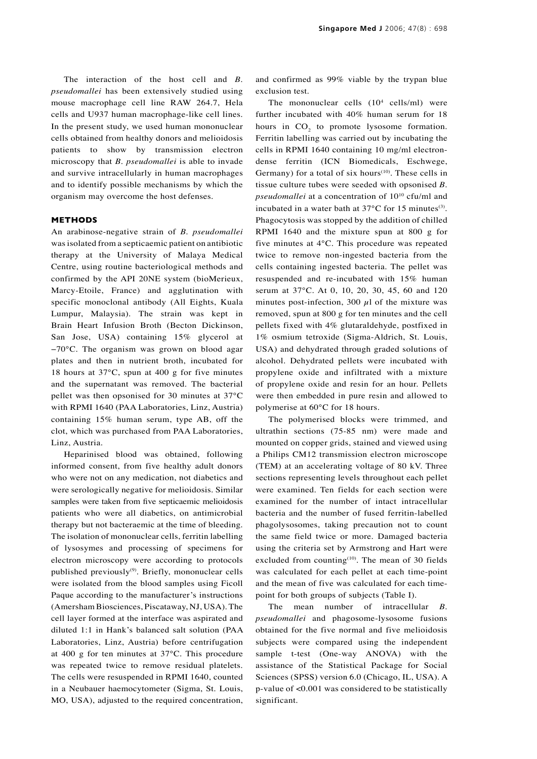The interaction of the host cell and *B. pseudomallei* has been extensively studied using mouse macrophage cell line RAW 264.7, Hela cells and U937 human macrophage-like cell lines. In the present study, we used human mononuclear cells obtained from healthy donors and melioidosis patients to show by transmission electron microscopy that *B. pseudomallei* is able to invade and survive intracellularly in human macrophages and to identify possible mechanisms by which the organism may overcome the host defenses.

## **METHODS**

An arabinose-negative strain of *B. pseudomallei*  was isolated from a septicaemic patient on antibiotic therapy at the University of Malaya Medical Centre, using routine bacteriological methods and confirmed by the API 20NE system (bioMerieux, Marcy-Etoile, France) and agglutination with specific monoclonal antibody (All Eights, Kuala Lumpur, Malaysia). The strain was kept in Brain Heart Infusion Broth (Becton Dickinson, San Jose, USA) containing 15% glycerol at −70°C. The organism was grown on blood agar plates and then in nutrient broth, incubated for 18 hours at 37°C, spun at 400 g for five minutes and the supernatant was removed. The bacterial pellet was then opsonised for 30 minutes at 37°C with RPMI 1640 (PAA Laboratories, Linz, Austria) containing 15% human serum, type AB, off the clot, which was purchased from PAA Laboratories, Linz, Austria.

Heparinised blood was obtained, following informed consent, from five healthy adult donors who were not on any medication, not diabetics and were serologically negative for melioidosis. Similar samples were taken from five septicaemic melioidosis patients who were all diabetics, on antimicrobial therapy but not bacteraemic at the time of bleeding. The isolation of mononuclear cells, ferritin labelling of lysosymes and processing of specimens for electron microscopy were according to protocols published previously $(9)$ . Briefly, mononuclear cells were isolated from the blood samples using Ficoll Paque according to the manufacturer's instructions (Amersham Biosciences, Piscataway, NJ, USA). The cell layer formed at the interface was aspirated and diluted 1:1 in Hank's balanced salt solution (PAA Laboratories, Linz, Austria) before centrifugation at 400 g for ten minutes at 37°C. This procedure was repeated twice to remove residual platelets. The cells were resuspended in RPMI 1640, counted in a Neubauer haemocytometer (Sigma, St. Louis, MO, USA), adjusted to the required concentration, and confirmed as 99% viable by the trypan blue exclusion test.

The mononuclear cells  $(10^4 \text{ cells/ml})$  were further incubated with 40% human serum for 18 hours in  $CO<sub>2</sub>$  to promote lysosome formation. Ferritin labelling was carried out by incubating the cells in RPMI 1640 containing 10 mg/ml electrondense ferritin (ICN Biomedicals, Eschwege, Germany) for a total of six hours<sup>(10)</sup>. These cells in tissue culture tubes were seeded with opsonised *B. pseudomallei* at a concentration of 1010 cfu/ml and incubated in a water bath at  $37^{\circ}$ C for 15 minutes<sup>(3)</sup>. Phagocytosis was stopped by the addition of chilled RPMI 1640 and the mixture spun at 800 g for five minutes at 4°C. This procedure was repeated twice to remove non-ingested bacteria from the cells containing ingested bacteria. The pellet was resuspended and re-incubated with 15% human serum at 37°C. At 0, 10, 20, 30, 45, 60 and 120 minutes post-infection, 300  $\mu$ l of the mixture was removed, spun at 800 g for ten minutes and the cell pellets fixed with 4% glutaraldehyde, postfixed in 1% osmium tetroxide (Sigma-Aldrich, St. Louis, USA) and dehydrated through graded solutions of alcohol. Dehydrated pellets were incubated with propylene oxide and infiltrated with a mixture of propylene oxide and resin for an hour. Pellets were then embedded in pure resin and allowed to polymerise at 60°C for 18 hours.

The polymerised blocks were trimmed, and ultrathin sections (75-85 nm) were made and mounted on copper grids, stained and viewed using a Philips CM12 transmission electron microscope (TEM) at an accelerating voltage of 80 kV. Three sections representing levels throughout each pellet were examined. Ten fields for each section were examined for the number of intact intracellular bacteria and the number of fused ferritin-labelled phagolysosomes, taking precaution not to count the same field twice or more. Damaged bacteria using the criteria set by Armstrong and Hart were excluded from counting $(10)$ . The mean of 30 fields was calculated for each pellet at each time-point and the mean of five was calculated for each timepoint for both groups of subjects (Table I).

The mean number of intracellular *B. pseudomallei* and phagosome-lysosome fusions obtained for the five normal and five melioidosis subjects were compared using the independent sample t-test (One-way ANOVA) with the assistance of the Statistical Package for Social Sciences (SPSS) version 6.0 (Chicago, IL, USA). A p-value of <0.001 was considered to be statistically significant.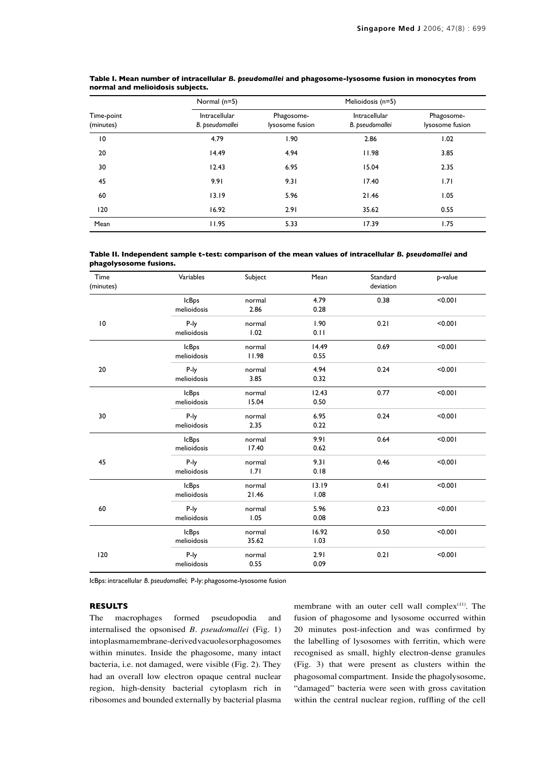| Time-point<br>(minutes) | Normal (n=5)                     |                               | Melioidosis (n=5)                       |                               |
|-------------------------|----------------------------------|-------------------------------|-----------------------------------------|-------------------------------|
|                         | Intracellular<br>B. pseudomallei | Phagosome-<br>lysosome fusion | <b>Intracellular</b><br>B. pseudomallei | Phagosome-<br>lysosome fusion |
| 10                      | 4.79                             | 1.90                          | 2.86                                    | 1.02                          |
| 20                      | 14.49                            | 4.94                          | 11.98                                   | 3.85                          |
| 30                      | 12.43                            | 6.95                          | 15.04                                   | 2.35                          |
| 45                      | 9.91                             | 9.31                          | 17.40                                   | 1.71                          |
| 60                      | 13.19                            | 5.96                          | 21.46                                   | 1.05                          |
| 120                     | 16.92                            | 2.91                          | 35.62                                   | 0.55                          |
| Mean                    | 11.95                            | 5.33                          | 17.39                                   | 1.75                          |

**Table I. Mean number of intracellular** *B. pseudomallei* **and phagosome-lysosome fusion in monocytes from normal and melioidosis subjects.**

**Table II. Independent sample t-test: comparison of the mean values of intracellular** *B. pseudomallei* **and phagolysosome fusions.**

| Time<br>(minutes) | Variables    | Subject | Mean  | Standard<br>deviation | p-value |
|-------------------|--------------|---------|-------|-----------------------|---------|
|                   | <b>IcBps</b> | normal  | 4.79  | 0.38                  | < 0.001 |
|                   | melioidosis  | 2.86    | 0.28  |                       |         |
| 10                | P-ly         | normal  | 1.90  | 0.21                  | < 0.001 |
|                   | melioidosis  | 1.02    | 0.11  |                       |         |
|                   | <b>IcBps</b> | normal  | 14.49 | 0.69                  | < 0.001 |
|                   | melioidosis  | 11.98   | 0.55  |                       |         |
| 20                | P-ly         | normal  | 4.94  | 0.24                  | < 0.001 |
|                   | melioidosis  | 3.85    | 0.32  |                       |         |
|                   | <b>IcBps</b> | normal  | 12.43 | 0.77                  | < 0.001 |
|                   | melioidosis  | 15.04   | 0.50  |                       |         |
| 30                | P-ly         | normal  | 6.95  | 0.24                  | < 0.001 |
|                   | melioidosis  | 2.35    | 0.22  |                       |         |
|                   | <b>IcBps</b> | normal  | 9.91  | 0.64                  | < 0.001 |
|                   | melioidosis  | 17.40   | 0.62  |                       |         |
| 45                | P-ly         | normal  | 9.31  | 0.46                  | < 0.001 |
|                   | melioidosis  | 1.71    | 0.18  |                       |         |
|                   | <b>IcBps</b> | normal  | 13.19 | 0.41                  | < 0.001 |
|                   | melioidosis  | 21.46   | 1.08  |                       |         |
| 60                | P-ly         | normal  | 5.96  | 0.23                  | < 0.001 |
|                   | melioidosis  | 1.05    | 0.08  |                       |         |
|                   | <b>IcBps</b> | normal  | 16.92 | 0.50                  | < 0.001 |
|                   | melioidosis  | 35.62   | 1.03  |                       |         |
| 120               | P-ly         | normal  | 2.91  | 0.21                  | < 0.001 |
|                   | melioidosis  | 0.55    | 0.09  |                       |         |

IcBps: intracellular *B. pseudomallei*; P-ly: phagosome-lysosome fusion

# **RESULTS**

The macrophages formed pseudopodia and internalised the opsonised *B. pseudomallei* (Fig. 1) into plasma membrane-derived vacuoles or phagosomes within minutes. Inside the phagosome, many intact bacteria, i.e. not damaged, were visible (Fig. 2). They had an overall low electron opaque central nuclear region, high-density bacterial cytoplasm rich in ribosomes and bounded externally by bacterial plasma membrane with an outer cell wall complex<sup>(11)</sup>. The fusion of phagosome and lysosome occurred within 20 minutes post-infection and was confirmed by the labelling of lysosomes with ferritin, which were recognised as small, highly electron-dense granules (Fig. 3) that were present as clusters within the phagosomal compartment. Inside the phagolysosome, "damaged" bacteria were seen with gross cavitation within the central nuclear region, ruffling of the cell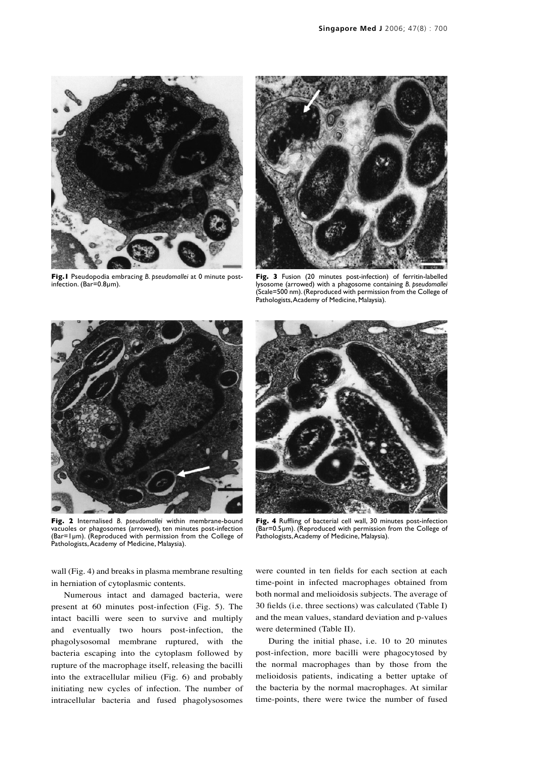

**Fig.1** Pseudopodia embracing *B. pseudomallei* at 0 minute postinfection. (Bar=0.8µm).



**Fig. 3** Fusion (20 minutes post-infection) of ferritin-labelled lysosome (arrowed) with a phagosome containing *B. pseudomallei* (Scale=500 nm). (Reproduced with permission from the College of Pathologists, Academy of Medicine, Malaysia).



**Fig. 2** Internalised *B. pseudomallei* within membrane-bound vacuoles or phagosomes (arrowed), ten minutes post-infection (Bar=1µm). (Reproduced with permission from the College of Pathologists, Academy of Medicine, Malaysia).

**Fig. 4** Ruffling of bacterial cell wall, 30 minutes post-infection (Bar=0.5µm). (Reproduced with permission from the College of Pathologists, Academy of Medicine, Malaysia).

wall (Fig. 4) and breaks in plasma membrane resulting in herniation of cytoplasmic contents.

Numerous intact and damaged bacteria, were present at 60 minutes post-infection (Fig. 5). The intact bacilli were seen to survive and multiply and eventually two hours post-infection, the phagolysosomal membrane ruptured, with the bacteria escaping into the cytoplasm followed by rupture of the macrophage itself, releasing the bacilli into the extracellular milieu (Fig. 6) and probably initiating new cycles of infection. The number of intracellular bacteria and fused phagolysosomes were counted in ten fields for each section at each time-point in infected macrophages obtained from both normal and melioidosis subjects. The average of 30 fields (i.e. three sections) was calculated (Table I) and the mean values, standard deviation and p-values were determined (Table II).

During the initial phase, i.e. 10 to 20 minutes post-infection, more bacilli were phagocytosed by the normal macrophages than by those from the melioidosis patients, indicating a better uptake of the bacteria by the normal macrophages. At similar time-points, there were twice the number of fused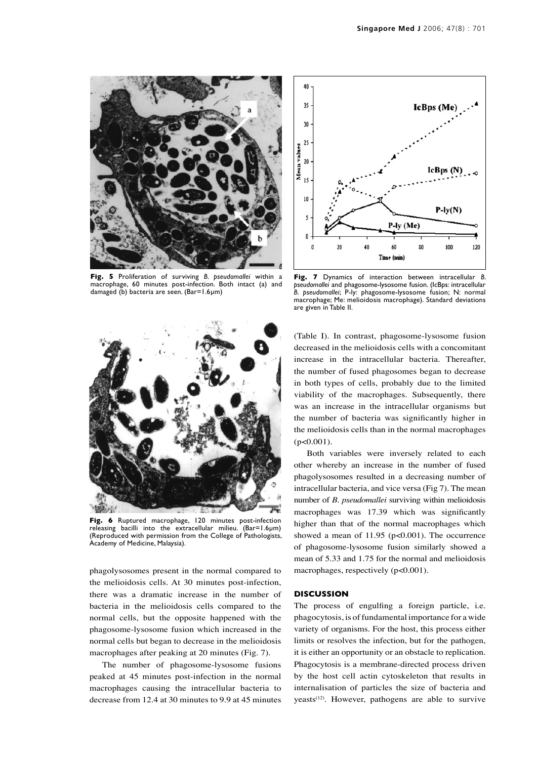

**Fig. 5** Proliferation of surviving *B. pseudomallei* within a macrophage, 60 minutes post-infection. Both intact (a) and damaged (b) bacteria are seen. (Bar=1.6µm)



**Fig. 7** Dynamics of interaction between intracellular *B. pseudomallei* and phagosome-lysosome fusion. (IcBps: intracellular *B. pseudomallei*; P-ly: phagosome-lysosome fusion; N: normal macrophage; Me: melioidosis macrophage). Standard deviations are given in Table II.



**Fig. 6** Ruptured macrophage, 120 minutes post-infection releasing bacilli into the extracellular milieu. (Bar=1.6µm) (Reproduced with permission from the College of Pathologists, Academy of Medicine, Malaysia).

phagolysosomes present in the normal compared to the melioidosis cells. At 30 minutes post-infection, there was a dramatic increase in the number of bacteria in the melioidosis cells compared to the normal cells, but the opposite happened with the phagosome-lysosome fusion which increased in the normal cells but began to decrease in the melioidosis macrophages after peaking at 20 minutes (Fig. 7).

The number of phagosome-lysosome fusions peaked at 45 minutes post-infection in the normal macrophages causing the intracellular bacteria to decrease from 12.4 at 30 minutes to 9.9 at 45 minutes (Table I). In contrast, phagosome-lysosome fusion decreased in the melioidosis cells with a concomitant increase in the intracellular bacteria. Thereafter, the number of fused phagosomes began to decrease in both types of cells, probably due to the limited viability of the macrophages. Subsequently, there was an increase in the intracellular organisms but the number of bacteria was significantly higher in the melioidosis cells than in the normal macrophages  $(p<0.001)$ .

Both variables were inversely related to each other whereby an increase in the number of fused phagolysosomes resulted in a decreasing number of intracellular bacteria, and vice versa (Fig 7). The mean number of *B. pseudomallei* surviving within melioidosis macrophages was 17.39 which was significantly higher than that of the normal macrophages which showed a mean of 11.95 (p<0.001). The occurrence of phagosome-lysosome fusion similarly showed a mean of 5.33 and 1.75 for the normal and melioidosis macrophages, respectively (p<0.001).

#### **DISCUSSION**

The process of engulfing a foreign particle, i.e. phagocytosis, is of fundamental importance for a wide variety of organisms. For the host, this process either limits or resolves the infection, but for the pathogen, it is either an opportunity or an obstacle to replication. Phagocytosis is a membrane-directed process driven by the host cell actin cytoskeleton that results in internalisation of particles the size of bacteria and yeasts<sup>(12)</sup>. However, pathogens are able to survive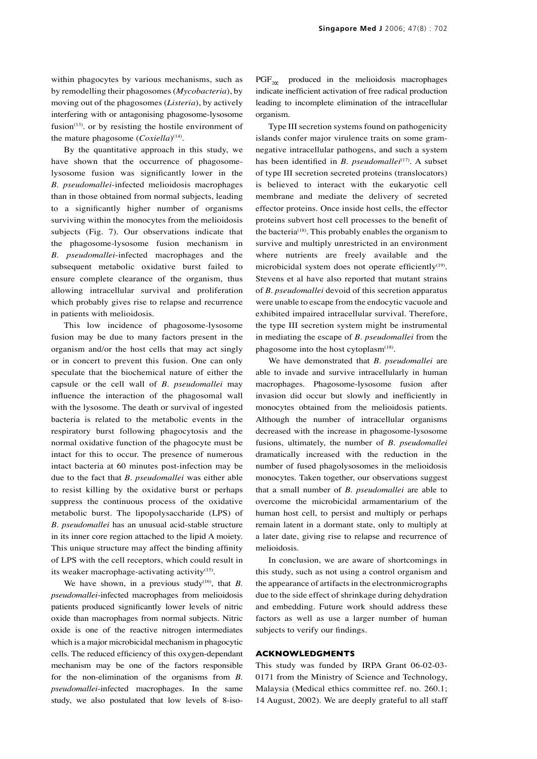within phagocytes by various mechanisms, such as by remodelling their phagosomes (*Mycobacteria*), by moving out of the phagosomes (*Listeria*), by actively interfering with or antagonising phagosome-lysosome fusion<sup> $(13)$ </sup>. or by resisting the hostile environment of the mature phagosome (*Coxiella*)<sup>(14)</sup>.

By the quantitative approach in this study, we have shown that the occurrence of phagosomelysosome fusion was significantly lower in the *B. pseudomallei*-infected melioidosis macrophages than in those obtained from normal subjects, leading to a significantly higher number of organisms surviving within the monocytes from the melioidosis subjects (Fig. 7). Our observations indicate that the phagosome-lysosome fusion mechanism in *B. pseudomallei*-infected macrophages and the subsequent metabolic oxidative burst failed to ensure complete clearance of the organism, thus allowing intracellular survival and proliferation which probably gives rise to relapse and recurrence in patients with melioidosis.

This low incidence of phagosome-lysosome fusion may be due to many factors present in the organism and/or the host cells that may act singly or in concert to prevent this fusion. One can only speculate that the biochemical nature of either the capsule or the cell wall of *B. pseudomallei* may influence the interaction of the phagosomal wall with the lysosome. The death or survival of ingested bacteria is related to the metabolic events in the respiratory burst following phagocytosis and the normal oxidative function of the phagocyte must be intact for this to occur. The presence of numerous intact bacteria at 60 minutes post-infection may be due to the fact that *B. pseudomallei* was either able to resist killing by the oxidative burst or perhaps suppress the continuous process of the oxidative metabolic burst. The lipopolysaccharide (LPS) of *B. pseudomallei* has an unusual acid-stable structure in its inner core region attached to the lipid A moiety. This unique structure may affect the binding affinity of LPS with the cell receptors, which could result in its weaker macrophage-activating activity $(15)$ .

We have shown, in a previous study<sup> $(16)$ </sup>, that *B*. *pseudomallei*-infected macrophages from melioidosis patients produced significantly lower levels of nitric oxide than macrophages from normal subjects. Nitric oxide is one of the reactive nitrogen intermediates which is a major microbicidal mechanism in phagocytic cells. The reduced efficiency of this oxygen-dependant mechanism may be one of the factors responsible for the non-elimination of the organisms from *B. pseudomallei*-infected macrophages. In the same study, we also postulated that low levels of 8-iso $PGF<sub>20</sub>$  produced in the melioidosis macrophages indicate inefficient activation of free radical production leading to incomplete elimination of the intracellular organism.

Type III secretion systems found on pathogenicity islands confer major virulence traits on some gramnegative intracellular pathogens, and such a system has been identified in *B. pseudomallei*<sup>(17)</sup>. A subset of type III secretion secreted proteins (translocators) is believed to interact with the eukaryotic cell membrane and mediate the delivery of secreted effector proteins. Once inside host cells, the effector proteins subvert host cell processes to the benefit of the bacteria<sup>(18)</sup>. This probably enables the organism to survive and multiply unrestricted in an environment where nutrients are freely available and the microbicidal system does not operate efficiently $(19)$ . Stevens et al have also reported that mutant strains of *B. pseudomallei* devoid of this secretion apparatus were unable to escape from the endocytic vacuole and exhibited impaired intracellular survival. Therefore, the type III secretion system might be instrumental in mediating the escape of *B. pseudomallei* from the phagosome into the host cytoplas $m^{(18)}$ .

We have demonstrated that *B. pseudomallei* are able to invade and survive intracellularly in human macrophages. Phagosome-lysosome fusion after invasion did occur but slowly and inefficiently in monocytes obtained from the melioidosis patients. Although the number of intracellular organisms decreased with the increase in phagosome-lysosome fusions, ultimately, the number of *B. pseudomallei*  dramatically increased with the reduction in the number of fused phagolysosomes in the melioidosis monocytes. Taken together, our observations suggest that a small number of *B. pseudomallei* are able to overcome the microbicidal armamentarium of the human host cell, to persist and multiply or perhaps remain latent in a dormant state, only to multiply at a later date, giving rise to relapse and recurrence of melioidosis.

In conclusion, we are aware of shortcomings in this study, such as not using a control organism and the appearance of artifacts in the electronmicrographs due to the side effect of shrinkage during dehydration and embedding. Future work should address these factors as well as use a larger number of human subjects to verify our findings.

#### **ACKNOWLEDGMENTS**

This study was funded by IRPA Grant 06-02-03- 0171 from the Ministry of Science and Technology, Malaysia (Medical ethics committee ref. no. 260.1; 14 August, 2002). We are deeply grateful to all staff